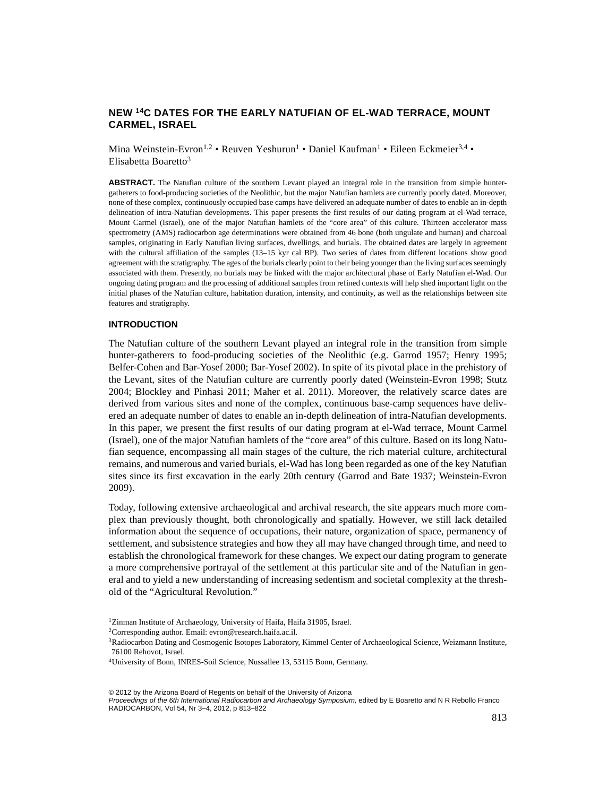# **NEW 14C DATES FOR THE EARLY NATUFIAN OF EL-WAD TERRACE, MOUNT CARMEL, ISRAEL**

Mina Weinstein-Evron<sup>1,2</sup> • Reuven Yeshurun<sup>1</sup> • Daniel Kaufman<sup>1</sup> • Eileen Eckmeier<sup>3,4</sup> • Elisabetta Boaretto3

**ABSTRACT.** The Natufian culture of the southern Levant played an integral role in the transition from simple huntergatherers to food-producing societies of the Neolithic, but the major Natufian hamlets are currently poorly dated. Moreover, none of these complex, continuously occupied base camps have delivered an adequate number of dates to enable an in-depth delineation of intra-Natufian developments. This paper presents the first results of our dating program at el-Wad terrace, Mount Carmel (Israel), one of the major Natufian hamlets of the "core area" of this culture. Thirteen accelerator mass spectrometry (AMS) radiocarbon age determinations were obtained from 46 bone (both ungulate and human) and charcoal samples, originating in Early Natufian living surfaces, dwellings, and burials. The obtained dates are largely in agreement with the cultural affiliation of the samples (13–15 kyr cal BP). Two series of dates from different locations show good agreement with the stratigraphy. The ages of the burials clearly point to their being younger than the living surfaces seemingly associated with them. Presently, no burials may be linked with the major architectural phase of Early Natufian el-Wad. Our ongoing dating program and the processing of additional samples from refined contexts will help shed important light on the initial phases of the Natufian culture, habitation duration, intensity, and continuity, as well as the relationships between site features and stratigraphy.

#### **INTRODUCTION**

The Natufian culture of the southern Levant played an integral role in the transition from simple hunter-gatherers to food-producing societies of the Neolithic (e.g. Garrod 1957; Henry 1995; Belfer-Cohen and Bar-Yosef 2000; Bar-Yosef 2002). In spite of its pivotal place in the prehistory of the Levant, sites of the Natufian culture are currently poorly dated (Weinstein-Evron 1998; Stutz 2004; Blockley and Pinhasi 2011; Maher et al. 2011). Moreover, the relatively scarce dates are derived from various sites and none of the complex, continuous base-camp sequences have delivered an adequate number of dates to enable an in-depth delineation of intra-Natufian developments. In this paper, we present the first results of our dating program at el-Wad terrace, Mount Carmel (Israel), one of the major Natufian hamlets of the "core area" of this culture. Based on its long Natufian sequence, encompassing all main stages of the culture, the rich material culture, architectural remains, and numerous and varied burials, el-Wad has long been regarded as one of the key Natufian sites since its first excavation in the early 20th century (Garrod and Bate 1937; Weinstein-Evron 2009).

Today, following extensive archaeological and archival research, the site appears much more complex than previously thought, both chronologically and spatially. However, we still lack detailed information about the sequence of occupations, their nature, organization of space, permanency of settlement, and subsistence strategies and how they all may have changed through time, and need to establish the chronological framework for these changes. We expect our dating program to generate a more comprehensive portrayal of the settlement at this particular site and of the Natufian in general and to yield a new understanding of increasing sedentism and societal complexity at the threshold of the "Agricultural Revolution."

<sup>1</sup>Zinman Institute of Archaeology, University of Haifa, Haifa 31905, Israel.

<sup>2</sup>Corresponding author. Email: evron@research.haifa.ac.il.

<sup>&</sup>lt;sup>3</sup>Radiocarbon Dating and Cosmogenic Isotopes Laboratory, Kimmel Center of Archaeological Science, Weizmann Institute, 76100 Rehovot, Israel.

<sup>4</sup>University of Bonn, INRES-Soil Science, Nussallee 13, 53115 Bonn, Germany.

<sup>© 2012</sup> by the Arizona Board of Regents on behalf of the University of Arizona Proceedings of the 6th International Radiocarbon and Archaeology Symposium, edited by E Boaretto and N R Rebollo Franco RADIOCARBON, Vol 54, Nr 3–4, 2012, p 813–822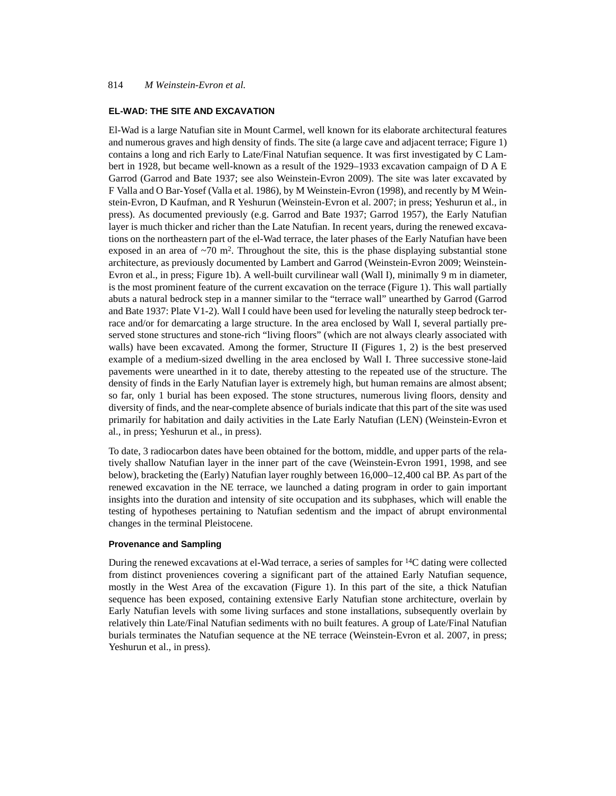# 814 *M Weinstein-Evron et al.*

## **EL-WAD: THE SITE AND EXCAVATION**

El-Wad is a large Natufian site in Mount Carmel, well known for its elaborate architectural features and numerous graves and high density of finds. The site (a large cave and adjacent terrace; Figure 1) contains a long and rich Early to Late/Final Natufian sequence. It was first investigated by C Lambert in 1928, but became well-known as a result of the 1929–1933 excavation campaign of D A E Garrod (Garrod and Bate 1937; see also Weinstein-Evron 2009). The site was later excavated by F Valla and O Bar-Yosef (Valla et al. 1986), by M Weinstein-Evron (1998), and recently by M Weinstein-Evron, D Kaufman, and R Yeshurun (Weinstein-Evron et al. 2007; in press; Yeshurun et al., in press). As documented previously (e.g. Garrod and Bate 1937; Garrod 1957), the Early Natufian layer is much thicker and richer than the Late Natufian. In recent years, during the renewed excavations on the northeastern part of the el-Wad terrace, the later phases of the Early Natufian have been exposed in an area of  $\sim$ 70 m<sup>2</sup>. Throughout the site, this is the phase displaying substantial stone architecture, as previously documented by Lambert and Garrod (Weinstein-Evron 2009; Weinstein-Evron et al., in press; Figure 1b). A well-built curvilinear wall (Wall I), minimally 9 m in diameter, is the most prominent feature of the current excavation on the terrace (Figure 1). This wall partially abuts a natural bedrock step in a manner similar to the "terrace wall" unearthed by Garrod (Garrod and Bate 1937: Plate V1-2). Wall I could have been used for leveling the naturally steep bedrock terrace and/or for demarcating a large structure. In the area enclosed by Wall I, several partially preserved stone structures and stone-rich "living floors" (which are not always clearly associated with walls) have been excavated. Among the former, Structure II (Figures 1, 2) is the best preserved example of a medium-sized dwelling in the area enclosed by Wall I. Three successive stone-laid pavements were unearthed in it to date, thereby attesting to the repeated use of the structure. The density of finds in the Early Natufian layer is extremely high, but human remains are almost absent; so far, only 1 burial has been exposed. The stone structures, numerous living floors, density and diversity of finds, and the near-complete absence of burials indicate that this part of the site was used primarily for habitation and daily activities in the Late Early Natufian (LEN) (Weinstein-Evron et al., in press; Yeshurun et al., in press).

To date, 3 radiocarbon dates have been obtained for the bottom, middle, and upper parts of the relatively shallow Natufian layer in the inner part of the cave (Weinstein-Evron 1991, 1998, and see below), bracketing the (Early) Natufian layer roughly between 16,000–12,400 cal BP. As part of the renewed excavation in the NE terrace, we launched a dating program in order to gain important insights into the duration and intensity of site occupation and its subphases, which will enable the testing of hypotheses pertaining to Natufian sedentism and the impact of abrupt environmental changes in the terminal Pleistocene.

#### **Provenance and Sampling**

During the renewed excavations at el-Wad terrace, a series of samples for 14C dating were collected from distinct proveniences covering a significant part of the attained Early Natufian sequence, mostly in the West Area of the excavation (Figure 1). In this part of the site, a thick Natufian sequence has been exposed, containing extensive Early Natufian stone architecture, overlain by Early Natufian levels with some living surfaces and stone installations, subsequently overlain by relatively thin Late/Final Natufian sediments with no built features. A group of Late/Final Natufian burials terminates the Natufian sequence at the NE terrace (Weinstein-Evron et al. 2007, in press; Yeshurun et al., in press).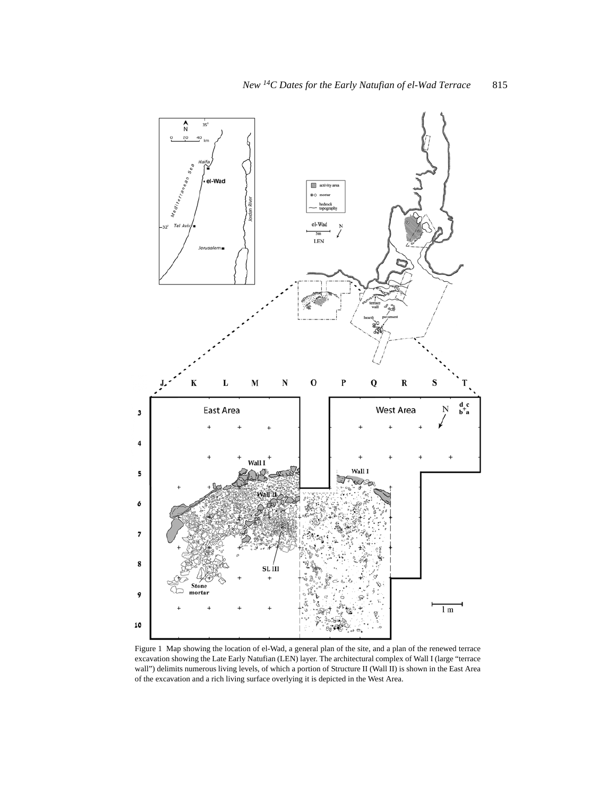

Figure 1 Map showing the location of el-Wad, a general plan of the site, and a plan of the renewed terrace excavation showing the Late Early Natufian (LEN) layer. The architectural complex of Wall I (large "terrace wall") delimits numerous living levels, of which a portion of Structure II (Wall II) is shown in the East Area of the excavation and a rich living surface overlying it is depicted in the West Area.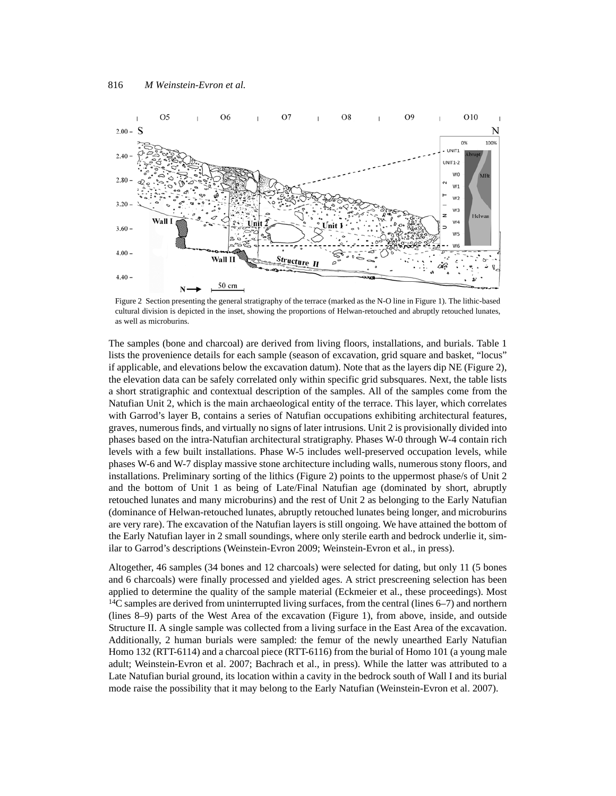

Figure 2 Section presenting the general stratigraphy of the terrace (marked as the N-O line in Figure 1). The lithic-based cultural division is depicted in the inset, showing the proportions of Helwan-retouched and abruptly retouched lunates, as well as microburins.

The samples (bone and charcoal) are derived from living floors, installations, and burials. Table 1 lists the provenience details for each sample (season of excavation, grid square and basket, "locus" if applicable, and elevations below the excavation datum). Note that as the layers dip NE (Figure 2), the elevation data can be safely correlated only within specific grid subsquares. Next, the table lists a short stratigraphic and contextual description of the samples. All of the samples come from the Natufian Unit 2, which is the main archaeological entity of the terrace. This layer, which correlates with Garrod's layer B, contains a series of Natufian occupations exhibiting architectural features, graves, numerous finds, and virtually no signs of later intrusions. Unit 2 is provisionally divided into phases based on the intra-Natufian architectural stratigraphy. Phases W-0 through W-4 contain rich levels with a few built installations. Phase W-5 includes well-preserved occupation levels, while phases W-6 and W-7 display massive stone architecture including walls, numerous stony floors, and installations. Preliminary sorting of the lithics (Figure 2) points to the uppermost phase/s of Unit 2 and the bottom of Unit 1 as being of Late/Final Natufian age (dominated by short, abruptly retouched lunates and many microburins) and the rest of Unit 2 as belonging to the Early Natufian (dominance of Helwan-retouched lunates, abruptly retouched lunates being longer, and microburins are very rare). The excavation of the Natufian layers is still ongoing. We have attained the bottom of the Early Natufian layer in 2 small soundings, where only sterile earth and bedrock underlie it, similar to Garrod's descriptions (Weinstein-Evron 2009; Weinstein-Evron et al., in press).

Altogether, 46 samples (34 bones and 12 charcoals) were selected for dating, but only 11 (5 bones and 6 charcoals) were finally processed and yielded ages. A strict prescreening selection has been applied to determine the quality of the sample material (Eckmeier et al., these proceedings). Most 14C samples are derived from uninterrupted living surfaces, from the central (lines 6–7) and northern (lines 8–9) parts of the West Area of the excavation (Figure 1), from above, inside, and outside Structure II. A single sample was collected from a living surface in the East Area of the excavation. Additionally, 2 human burials were sampled: the femur of the newly unearthed Early Natufian Homo 132 (RTT-6114) and a charcoal piece (RTT-6116) from the burial of Homo 101 (a young male adult; Weinstein-Evron et al. 2007; Bachrach et al., in press). While the latter was attributed to a Late Natufian burial ground, its location within a cavity in the bedrock south of Wall I and its burial mode raise the possibility that it may belong to the Early Natufian (Weinstein-Evron et al. 2007).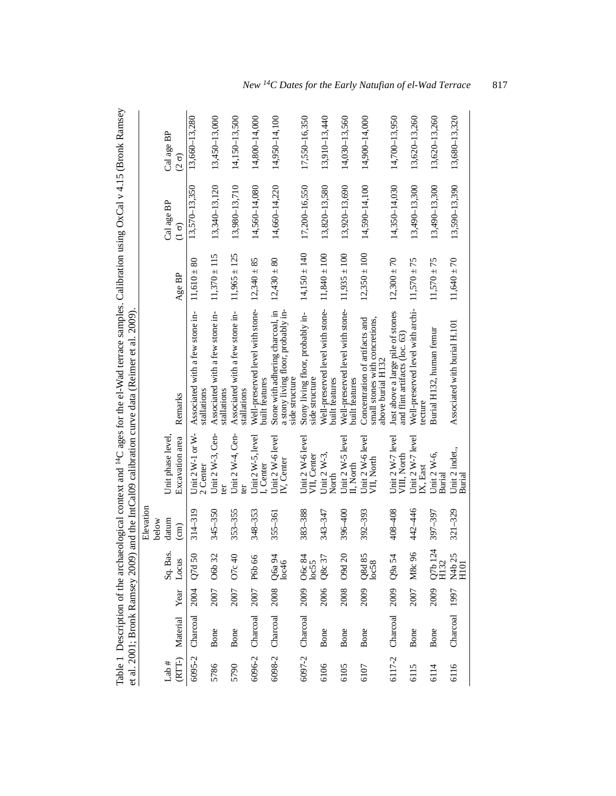| e<br>v<br>$\frac{1}{2}$ and $\frac{1}{2}$ and $\frac{1}{2}$ and $\frac{1}{2}$ and $\frac{1}{2}$<br>:<br>.<br>:<br>גו<br>فامسما فلمراج |                                                                                                                                                |  |
|---------------------------------------------------------------------------------------------------------------------------------------|------------------------------------------------------------------------------------------------------------------------------------------------|--|
| $\sim$<br>and <sup>14</sup> C ages for the el-Wau terrace<br>$27 + 0.7$<br>nan Ingi<br>$\sim$<br>ا ما ما امار                         | ć<br>$\sim$ $\sim$ $\sim$<br><b>SHOPPION</b> CONTROL<br>is Molon<br>$\eta$ and the $I$<br>L<br>S<br>.<br>.<br>.<br>$\overline{a}$<br>りっこう オフラン |  |

|        |                      |      |                      |                 |                                           | et al. 2001; Bronk Ramsey 2009) and the Intualibration curve data (Reimer et al. 2009).  |                  |                   |                   |
|--------|----------------------|------|----------------------|-----------------|-------------------------------------------|------------------------------------------------------------------------------------------|------------------|-------------------|-------------------|
|        |                      |      |                      | Elevation       |                                           |                                                                                          |                  |                   |                   |
|        |                      |      |                      | below           |                                           |                                                                                          |                  |                   |                   |
| Lab#   |                      |      | Sq. Bas.             | datum           | Unit phase level,                         |                                                                                          |                  | Cal age BP        | Cal age BP        |
|        | (RTT-) Material      | Year | Locus                | $\binom{cm}{2}$ | Excavation area                           | Remarks                                                                                  | Age BP           | $\frac{6}{1}$     | $\frac{6}{2}$     |
| 6095-2 | Charcoal             | 2004 | Q7d 50               | $314 - 319$     | Unit $2 W-1$ or $W-$<br>2 Center          | Associated with a few stone in-<br>stallations                                           | $11,610 \pm 80$  | 13,570-13,350     | 13,660-13,280     |
| 5786   | Bone                 | 2007 | O6b 32               | 345-350         | Unit $2 W-3$ , Cen-                       | Associated with a few stone in-<br>stallations                                           | $11,370 \pm 115$ | 13,340-13,120     | 13,450-13,000     |
| 5790   | Bone                 | 2007 | O <sub>7c</sub> $40$ | 353-355         | Unit 2 W-4, Cen-                          | Associated with a few stone in-<br>stallations                                           | $11,965 \pm 125$ | 13,980-13,710     | 14,150-13,500     |
| 6096-2 | Charcoal             | 2007 | P6b 66               | 348-353         | Unit $2 \text{ W-}5$ , level<br>I, Center | Well-preserved level with stone-<br>built features                                       | $12,340 \pm 85$  | 14,560-14,080     | 14,800-14,000     |
|        | 6098-2 Charcoal 2008 |      | Q6a 94<br>loc46      | $355 - 361$     | Unit 2 W-6 level<br>IV, Center            | Stone with adhering charcoal, in<br>a stony living floor, probably in-<br>side structure | $12,430 \pm 80$  | $14,660 - 14,220$ | 14,950-14,100     |
|        | 6097-2 Charcoal      | 2009 | O6c 84<br>loc55      | 383-388         | Unit 2 W-6 level<br>VII, Center           | Stony living floor, probably in-<br>side structure                                       | $14,150 \pm 140$ | 17,200-16,550     | 17,550-16,350     |
| 6106   | Bone                 | 2006 | $Q8c$ 37             | 343-347         | Unit $2 W-3$ ,<br>North                   | Well-preserved level with stone-<br>built features                                       | $11,840 \pm 100$ | 13,820-13,580     | 13,910-13,440     |
| 6105   | Bone                 | 2008 | O9d 20               | 396-400         | Unit 2 W-5 level<br>I. North              | Well-preserved level with stone-<br>built features                                       | $11,935 \pm 100$ | 13,920-13,690     | 14,030-13,560     |
| 6107   | Bone                 | 2009 | Q8d 85<br>loc58      | 392-393         | Unit 2 W-6 level<br>VII, North            | small stones with concretions,<br>Concentration of artifacts and<br>above burial H132    | $12,350 \pm 100$ | 14,590-14,100     | 14,900-14,000     |
| 6117-2 | Charcoal             | 2009 | Q9a 54               | 408-408         | Unit 2 W-7 level<br>VIII, North           | Just above a large pile of stones<br>and flint artifacts (loc. 63)                       | $12,300 \pm 70$  | 14,350-14,030     | $14,700 - 13,950$ |
| 6115   | Bone                 | 2007 | M8c96                | 442-446         | Unit 2 W-7 level<br>IX, East              | Well-preserved level with archi-<br>tecture                                              | $11,570 \pm 75$  | 13,490-13,300     | 13,620-13,260     |
| 6114   | Bone                 | 2009 | Q7b 124<br>H132      | 397-397         | Unit 2 W-6,<br>Burial                     | Burial H132, human femur                                                                 | $11,570 \pm 75$  | 13,490-13,300     | 13,620-13,260     |
| 6116   | Charcoal             | 1997 | N4b 25<br>H101       | $321 - 329$     | Unit 2 indet.,<br>Burial                  | Associated with burial H.101                                                             | $11,640 \pm 70$  | 13,590-13,390     | 13,680-13,320     |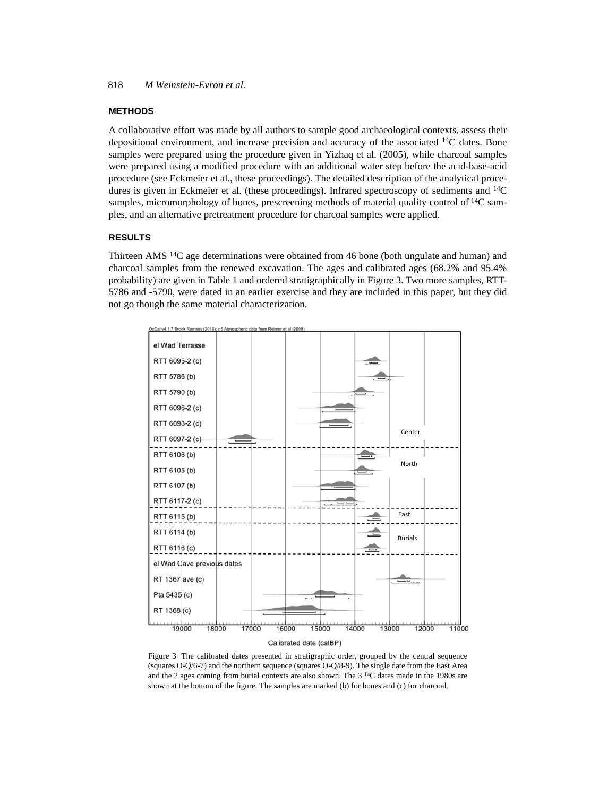#### **METHODS**

A collaborative effort was made by all authors to sample good archaeological contexts, assess their depositional environment, and increase precision and accuracy of the associated 14C dates. Bone samples were prepared using the procedure given in Yizhaq et al. (2005), while charcoal samples were prepared using a modified procedure with an additional water step before the acid-base-acid procedure (see Eckmeier et al., these proceedings). The detailed description of the analytical procedures is given in Eckmeier et al. (these proceedings). Infrared spectroscopy of sediments and  $^{14}C$ samples, micromorphology of bones, prescreening methods of material quality control of  ${}^{14}C$  samples, and an alternative pretreatment procedure for charcoal samples were applied.

# **RESULTS**

Thirteen AMS 14C age determinations were obtained from 46 bone (both ungulate and human) and charcoal samples from the renewed excavation. The ages and calibrated ages (68.2% and 95.4% probability) are given in Table 1 and ordered stratigraphically in Figure 3. Two more samples, RTT-5786 and -5790, were dated in an earlier exercise and they are included in this paper, but they did not go though the same material characterization.



Figure 3 The calibrated dates presented in stratigraphic order, grouped by the central sequence (squares O-Q/6-7) and the northern sequence (squares O-Q/8-9). The single date from the East Area and the 2 ages coming from burial contexts are also shown. The  $3<sup>14</sup>C$  dates made in the 1980s are shown at the bottom of the figure. The samples are marked (b) for bones and (c) for charcoal.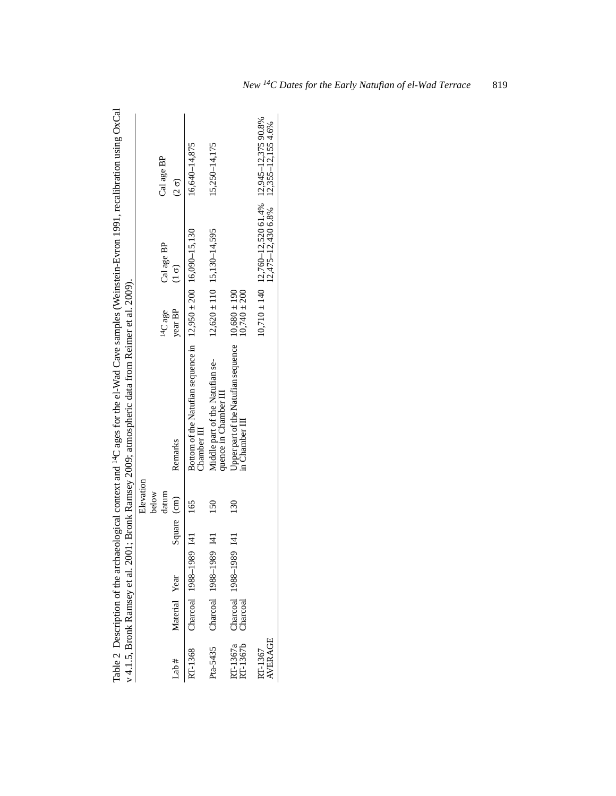|                      |               |                        |               |                | Table 2 Description of the archaeological context and <sup>14</sup> C ages for the el-Wad Cave samples (Weinstein-Evron 1991, recalibration using OxCal<br>v 4.1.5, Bronk Ramsey et al. 2001; Bronk Ramsey 2009; atmospheric data from Reimer et al. 2009). |                     |                                                                                             |               |
|----------------------|---------------|------------------------|---------------|----------------|-------------------------------------------------------------------------------------------------------------------------------------------------------------------------------------------------------------------------------------------------------------|---------------------|---------------------------------------------------------------------------------------------|---------------|
|                      |               |                        |               | Elevation      |                                                                                                                                                                                                                                                             |                     |                                                                                             |               |
|                      |               |                        |               | below<br>datum |                                                                                                                                                                                                                                                             | <sup>14</sup> C age | Cal age BP                                                                                  | Cal age BP    |
| Lab#                 | Material Year |                        | Square (cm)   |                | Remarks                                                                                                                                                                                                                                                     | year BP             | $\frac{6}{5}$                                                                               | $\frac{6}{2}$ |
| RT-1368              |               | Charcoal 1988-1989 I41 |               | 165            | Bottom of the Naturian sequence in $12,950 \pm 200$ 16,090–15,130<br>Chapter 11                                                                                                                                                                             |                     |                                                                                             | 16,640-14,875 |
| Pta-5435             |               | Charcoal 1988-1989 I41 |               | 150            | Middle part of the Natufian se-<br>quence in Chamber III                                                                                                                                                                                                    |                     | $12,620 \pm 110$ 15,130-14,595                                                              | 15,250-14,175 |
| RT-1367a<br>RT-1367b | Charcoal      | Charcoal 1988-1989     | $\frac{1}{2}$ | 130            | Upper part of the Natufian sequence $10,680 \pm 190$<br>in Chamber III                                                                                                                                                                                      | $10,740 \pm 200$    |                                                                                             |               |
| AVERAGE<br>RT-1367   |               |                        |               |                |                                                                                                                                                                                                                                                             |                     | $10,710 \pm 140$ $12,760 - 12,520$ 61.4%<br>$12,475 - 12,430$ 6.8%<br>$12,355 - 12,1554.6%$ |               |
|                      |               |                        |               |                |                                                                                                                                                                                                                                                             |                     |                                                                                             |               |

| ŗ                                                                                                                                    |                                       |
|--------------------------------------------------------------------------------------------------------------------------------------|---------------------------------------|
| $\frac{1}{2}$<br>o<br>q                                                                                                              |                                       |
|                                                                                                                                      |                                       |
|                                                                                                                                      |                                       |
|                                                                                                                                      |                                       |
|                                                                                                                                      |                                       |
| ינ<br> <br> <br>                                                                                                                     |                                       |
|                                                                                                                                      |                                       |
|                                                                                                                                      | willivi vi ali 200.                   |
|                                                                                                                                      |                                       |
|                                                                                                                                      | .<br>^                                |
|                                                                                                                                      |                                       |
|                                                                                                                                      | ynn ann                               |
|                                                                                                                                      |                                       |
|                                                                                                                                      |                                       |
| י מתחלומים את המשלום המות המצפה את המות המאודר המתחלות ו<br>haeological context and <sup>14</sup> C ages for the el-Wad Cave sample. |                                       |
|                                                                                                                                      |                                       |
|                                                                                                                                      |                                       |
| innorn                                                                                                                               | $101 \cdot R_{rr}$<br>ונו ונטינו<br>l |
| l                                                                                                                                    |                                       |
|                                                                                                                                      |                                       |
|                                                                                                                                      |                                       |
|                                                                                                                                      |                                       |
|                                                                                                                                      | l                                     |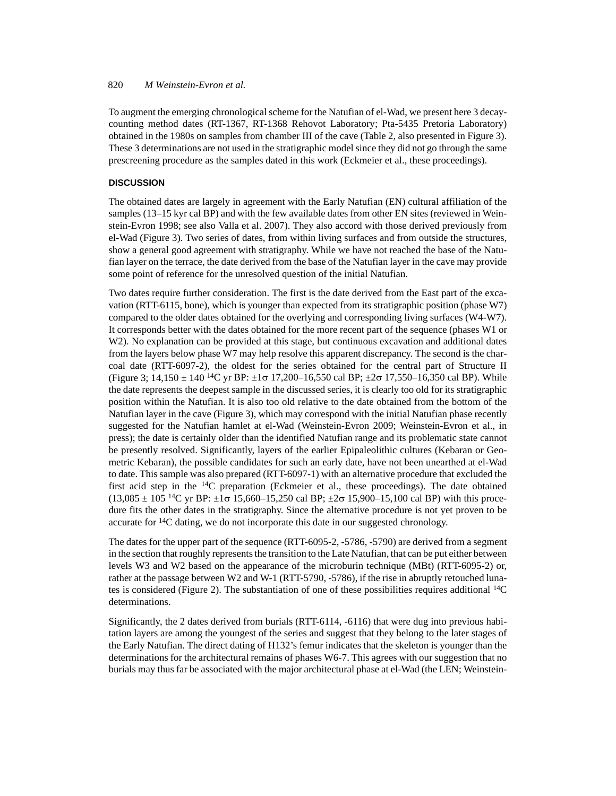## 820 *M Weinstein-Evron et al.*

To augment the emerging chronological scheme for the Natufian of el-Wad, we present here 3 decaycounting method dates (RT-1367, RT-1368 Rehovot Laboratory; Pta-5435 Pretoria Laboratory) obtained in the 1980s on samples from chamber III of the cave (Table 2, also presented in Figure 3). These 3 determinations are not used in the stratigraphic model since they did not go through the same prescreening procedure as the samples dated in this work (Eckmeier et al., these proceedings).

## **DISCUSSION**

The obtained dates are largely in agreement with the Early Natufian (EN) cultural affiliation of the samples (13–15 kyr cal BP) and with the few available dates from other EN sites (reviewed in Weinstein-Evron 1998; see also Valla et al. 2007). They also accord with those derived previously from el-Wad (Figure 3). Two series of dates, from within living surfaces and from outside the structures, show a general good agreement with stratigraphy. While we have not reached the base of the Natufian layer on the terrace, the date derived from the base of the Natufian layer in the cave may provide some point of reference for the unresolved question of the initial Natufian.

Two dates require further consideration. The first is the date derived from the East part of the excavation (RTT-6115, bone), which is younger than expected from its stratigraphic position (phase W7) compared to the older dates obtained for the overlying and corresponding living surfaces (W4-W7). It corresponds better with the dates obtained for the more recent part of the sequence (phases W1 or W2). No explanation can be provided at this stage, but continuous excavation and additional dates from the layers below phase W7 may help resolve this apparent discrepancy. The second is the charcoal date (RTT-6097-2), the oldest for the series obtained for the central part of Structure II (Figure 3;  $14.150 \pm 140$  <sup>14</sup>C yr BP:  $\pm 1\sigma$  17,200–16,550 cal BP;  $\pm 2\sigma$  17,550–16,350 cal BP). While the date represents the deepest sample in the discussed series, it is clearly too old for its stratigraphic position within the Natufian. It is also too old relative to the date obtained from the bottom of the Natufian layer in the cave (Figure 3), which may correspond with the initial Natufian phase recently suggested for the Natufian hamlet at el-Wad (Weinstein-Evron 2009; Weinstein-Evron et al., in press); the date is certainly older than the identified Natufian range and its problematic state cannot be presently resolved. Significantly, layers of the earlier Epipaleolithic cultures (Kebaran or Geometric Kebaran), the possible candidates for such an early date, have not been unearthed at el-Wad to date. This sample was also prepared (RTT-6097-1) with an alternative procedure that excluded the first acid step in the  $14C$  preparation (Eckmeier et al., these proceedings). The date obtained  $(13,085 \pm 105 \frac{14}{\text{C}} \text{ yr} \text{ BP}: \pm 1\sigma \frac{15,660 - 15,250}{\text{cal} \text{ BP}: \pm 2\sigma \frac{15,900 - 15,100}{\text{cal} \text{ BP}}} \text{ with this procedure.}$ dure fits the other dates in the stratigraphy. Since the alternative procedure is not yet proven to be accurate for  $14C$  dating, we do not incorporate this date in our suggested chronology.

The dates for the upper part of the sequence (RTT-6095-2, -5786, -5790) are derived from a segment in the section that roughly represents the transition to the Late Natufian, that can be put either between levels W3 and W2 based on the appearance of the microburin technique (MBt) (RTT-6095-2) or, rather at the passage between W2 and W-1 (RTT-5790, -5786), if the rise in abruptly retouched lunates is considered (Figure 2). The substantiation of one of these possibilities requires additional 14C determinations.

Significantly, the 2 dates derived from burials (RTT-6114, -6116) that were dug into previous habitation layers are among the youngest of the series and suggest that they belong to the later stages of the Early Natufian. The direct dating of H132's femur indicates that the skeleton is younger than the determinations for the architectural remains of phases W6-7. This agrees with our suggestion that no burials may thus far be associated with the major architectural phase at el-Wad (the LEN; Weinstein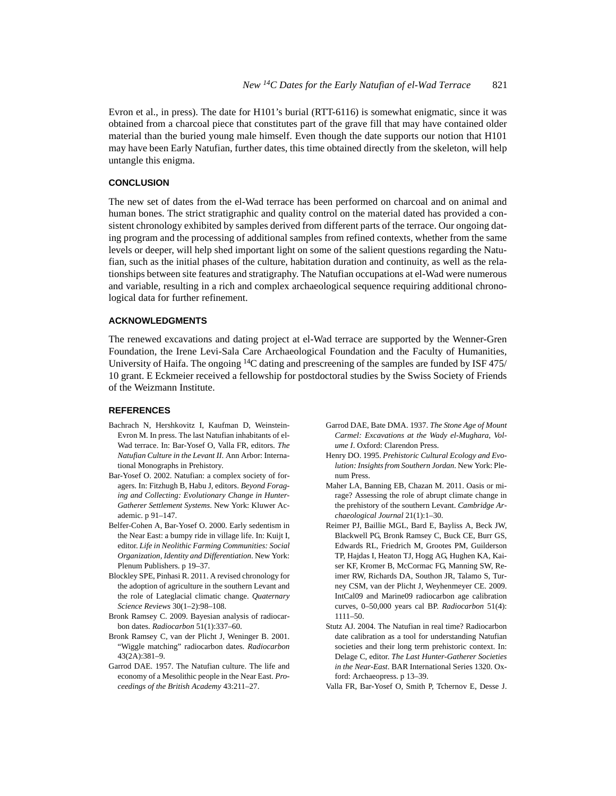Evron et al., in press). The date for H101's burial (RTT-6116) is somewhat enigmatic, since it was obtained from a charcoal piece that constitutes part of the grave fill that may have contained older material than the buried young male himself. Even though the date supports our notion that H101 may have been Early Natufian, further dates, this time obtained directly from the skeleton, will help untangle this enigma.

# **CONCLUSION**

The new set of dates from the el-Wad terrace has been performed on charcoal and on animal and human bones. The strict stratigraphic and quality control on the material dated has provided a consistent chronology exhibited by samples derived from different parts of the terrace. Our ongoing dating program and the processing of additional samples from refined contexts, whether from the same levels or deeper, will help shed important light on some of the salient questions regarding the Natufian, such as the initial phases of the culture, habitation duration and continuity, as well as the relationships between site features and stratigraphy. The Natufian occupations at el-Wad were numerous and variable, resulting in a rich and complex archaeological sequence requiring additional chronological data for further refinement.

### **ACKNOWLEDGMENTS**

The renewed excavations and dating project at el-Wad terrace are supported by the Wenner-Gren Foundation, the Irene Levi-Sala Care Archaeological Foundation and the Faculty of Humanities, University of Haifa. The ongoing 14C dating and prescreening of the samples are funded by ISF 475/ 10 grant. E Eckmeier received a fellowship for postdoctoral studies by the Swiss Society of Friends of the Weizmann Institute.

### **REFERENCES**

- Bachrach N, Hershkovitz I, Kaufman D, Weinstein-Evron M. In press. The last Natufian inhabitants of el-Wad terrace. In: Bar-Yosef O, Valla FR, editors. *The Natufian Culture in the Levant II*. Ann Arbor: International Monographs in Prehistory.
- Bar-Yosef O. 2002. Natufian: a complex society of foragers. In: Fitzhugh B, Habu J, editors. *Beyond Foraging and Collecting: Evolutionary Change in Hunter-Gatherer Settlement Systems*. New York: Kluwer Academic. p 91–147.
- Belfer-Cohen A, Bar-Yosef O. 2000. Early sedentism in the Near East: a bumpy ride in village life. In: Kuijt I, editor. *Life in Neolithic Farming Communities: Social Organization, Identity and Differentiation*. New York: Plenum Publishers. p 19–37.
- Blockley SPE, Pinhasi R. 2011. A revised chronology for the adoption of agriculture in the southern Levant and the role of Lateglacial climatic change. *Quaternary Science Reviews* 30(1–2):98–108.
- Bronk Ramsey C. 2009. Bayesian analysis of radiocarbon dates. *Radiocarbon* 51(1):337–60.
- Bronk Ramsey C, van der Plicht J, Weninger B. 2001. "Wiggle matching" radiocarbon dates. *Radiocarbon*  $43(2A) \cdot 381 - 9$
- Garrod DAE. 1957. The Natufian culture. The life and economy of a Mesolithic people in the Near East. *Proceedings of the British Academy* 43:211–27.
- Garrod DAE, Bate DMA. 1937. *The Stone Age of Mount Carmel: Excavations at the Wady el-Mughara, Volume I*. Oxford: Clarendon Press.
- Henry DO. 1995. *Prehistoric Cultural Ecology and Evolution: Insights from Southern Jordan*. New York: Plenum Press.
- Maher LA, Banning EB, Chazan M. 2011. Oasis or mirage? Assessing the role of abrupt climate change in the prehistory of the southern Levant. *Cambridge Archaeological Journal* 21(1):1–30.
- Reimer PJ, Baillie MGL, Bard E, Bayliss A, Beck JW, Blackwell PG, Bronk Ramsey C, Buck CE, Burr GS, Edwards RL, Friedrich M, Grootes PM, Guilderson TP, Hajdas I, Heaton TJ, Hogg AG, Hughen KA, Kaiser KF, Kromer B, McCormac FG, Manning SW, Reimer RW, Richards DA, Southon JR, Talamo S, Turney CSM, van der Plicht J, Weyhenmeyer CE. 2009. IntCal09 and Marine09 radiocarbon age calibration curves, 0–50,000 years cal BP. *Radiocarbon* 51(4): 1111–50.
- Stutz AJ. 2004. The Natufian in real time? Radiocarbon date calibration as a tool for understanding Natufian societies and their long term prehistoric context. In: Delage C, editor. *The Last Hunter-Gatherer Societies in the Near-East*. BAR International Series 1320. Oxford: Archaeopress. p 13–39.
- Valla FR, Bar-Yosef O, Smith P, Tchernov E, Desse J.